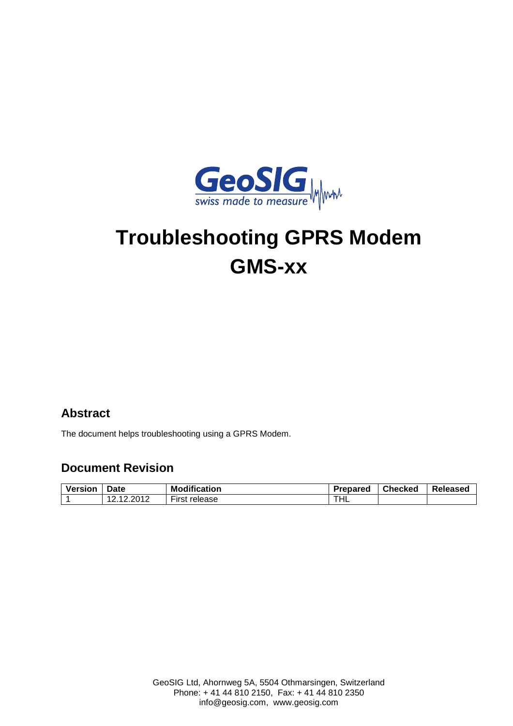

# **Troubleshooting GPRS Modem GMS-xx**

#### **Abstract**

The document helps troubleshooting using a GPRS Modem.

#### **Document Revision**

| Versior | Date                    | <b>Modification</b>     | Prepared | <b>Checked</b> | Released |
|---------|-------------------------|-------------------------|----------|----------------|----------|
|         | 2012<br>.<br>. <i>.</i> | $-$<br>release<br>∙ırst | THL      |                |          |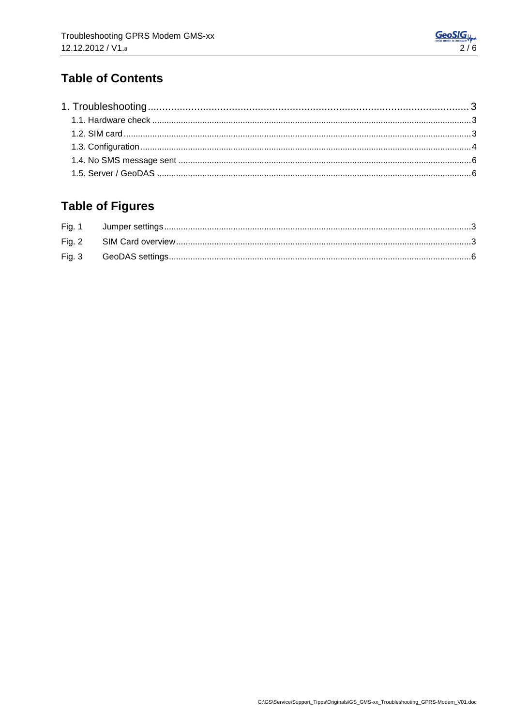### **Table of Contents**

## **Table of Figures**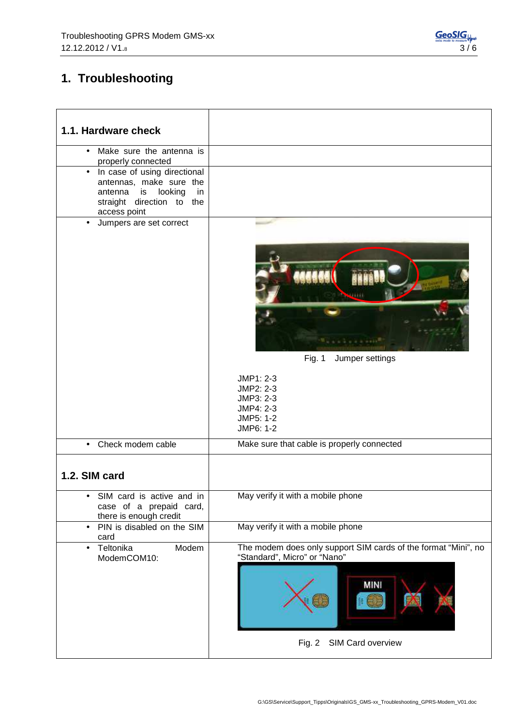## **1. Troubleshooting**

| 1.1. Hardware check                                                                                                                                 |                                                                                                                                                |
|-----------------------------------------------------------------------------------------------------------------------------------------------------|------------------------------------------------------------------------------------------------------------------------------------------------|
| Make sure the antenna is<br>$\bullet$<br>properly connected                                                                                         |                                                                                                                                                |
| In case of using directional<br>$\bullet$<br>antennas, make sure the<br>looking<br>antenna<br>is<br>in<br>straight direction to the<br>access point |                                                                                                                                                |
| Jumpers are set correct<br>$\bullet$                                                                                                                | Fig. $1$<br>Jumper settings<br>JMP1: 2-3<br>JMP2: 2-3<br>JMP3: 2-3<br>JMP4: 2-3<br>JMP5: 1-2<br>JMP6: 1-2                                      |
| Check modem cable<br>$\bullet$                                                                                                                      | Make sure that cable is properly connected                                                                                                     |
| 1.2. SIM card                                                                                                                                       |                                                                                                                                                |
| SIM card is active and in<br>case of a prepaid card,<br>there is enough credit                                                                      | May verify it with a mobile phone                                                                                                              |
| PIN is disabled on the SIM<br>$\bullet$<br>card                                                                                                     | May verify it with a mobile phone                                                                                                              |
| Teltonika<br>Modem<br>$\bullet$<br>ModemCOM10:                                                                                                      | The modem does only support SIM cards of the format "Mini", no<br>"Standard", Micro" or "Nano"<br><b>MINI</b><br>SIM Card overview<br>Fig. $2$ |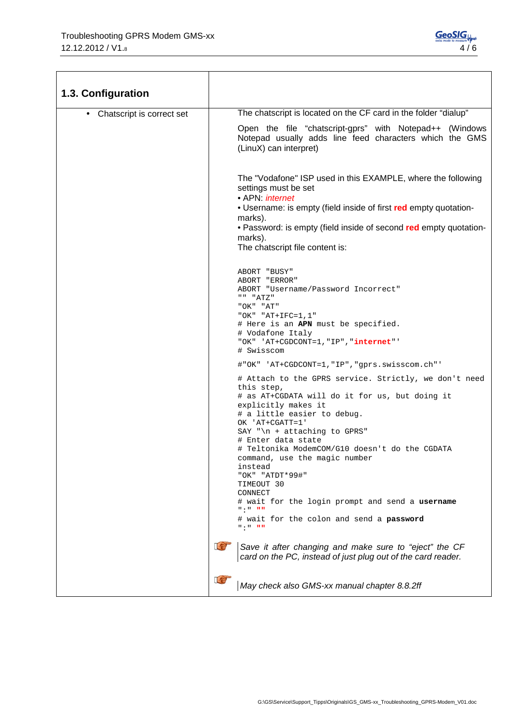| 1.3. Configuration        |                                                                                                                                                                                                                                                                                                                                                                                                                                                                                                                                         |
|---------------------------|-----------------------------------------------------------------------------------------------------------------------------------------------------------------------------------------------------------------------------------------------------------------------------------------------------------------------------------------------------------------------------------------------------------------------------------------------------------------------------------------------------------------------------------------|
| Chatscript is correct set | The chatscript is located on the CF card in the folder "dialup"                                                                                                                                                                                                                                                                                                                                                                                                                                                                         |
|                           | Open the file "chatscript-gprs" with Notepad++ (Windows<br>Notepad usually adds line feed characters which the GMS<br>(LinuX) can interpret)                                                                                                                                                                                                                                                                                                                                                                                            |
|                           | The "Vodafone" ISP used in this EXAMPLE, where the following<br>settings must be set<br>• APN: <i>internet</i><br>• Username: is empty (field inside of first red empty quotation-<br>marks).<br>• Password: is empty (field inside of second red empty quotation-<br>marks).<br>The chatscript file content is:                                                                                                                                                                                                                        |
|                           | ABORT "BUSY"<br>ABORT "ERROR"<br>ABORT "Username/Password Incorrect"<br>" "ATZ"<br>"OK" "AT"<br>"OK" "AT+IFC= $1, 1$ "<br># Here is an APN must be specified.<br># Vodafone Italy<br>"OK" 'AT+CGDCONT=1, "IP", "internet"'<br># Swisscom                                                                                                                                                                                                                                                                                                |
|                           | #"OK" 'AT+CGDCONT=1,"IP","gprs.swisscom.ch"'                                                                                                                                                                                                                                                                                                                                                                                                                                                                                            |
|                           | # Attach to the GPRS service. Strictly, we don't need<br>this step,<br># as AT+CGDATA will do it for us, but doing it<br>explicitly makes it<br># a little easier to debug.<br>OK 'AT+CGATT=1'<br>SAY " $\n\times$ + attaching to GPRS"<br># Enter data state<br># Teltonika ModemCOM/G10 doesn't do the CGDATA<br>command, use the magic number<br>instead<br>"OK" "ATDT*99#"<br>TIMEOUT 30<br>CONNECT<br># wait for the login prompt and send a username<br>$0.10\pm0.000$<br># wait for the colon and send a password<br>8. E 8. H H |
|                           | Let<br>Save it after changing and make sure to "eject" the CF<br>card on the PC, instead of just plug out of the card reader.                                                                                                                                                                                                                                                                                                                                                                                                           |
|                           | $\mathbb{C}$<br>May check also GMS-xx manual chapter 8.8.2ff                                                                                                                                                                                                                                                                                                                                                                                                                                                                            |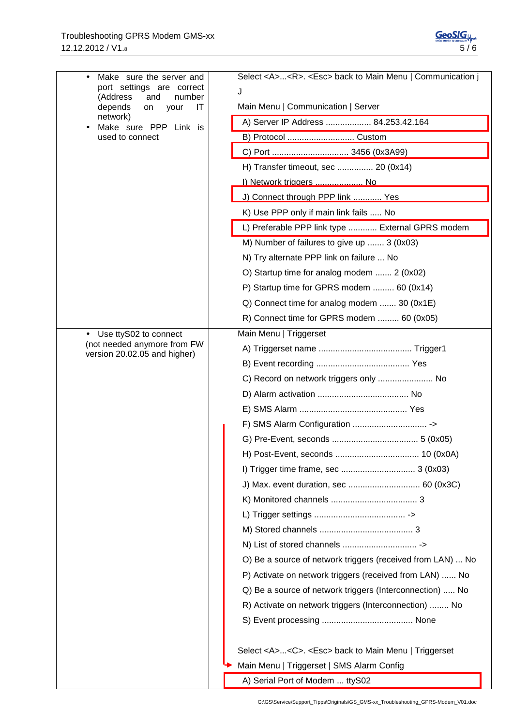| Make sure the server and<br>$\bullet$<br>port settings are correct | Select <a><r>. <esc> back to Main Menu   Communication j</esc></r></a> |
|--------------------------------------------------------------------|------------------------------------------------------------------------|
| (Address<br>and<br>number                                          | J                                                                      |
| depends<br>IT<br>on<br>your                                        | Main Menu   Communication   Server                                     |
| network)<br>Make sure PPP Link is<br>$\bullet$                     | A) Server IP Address  84.253.42.164                                    |
| used to connect                                                    | B) Protocol  Custom                                                    |
|                                                                    |                                                                        |
|                                                                    | H) Transfer timeout, sec  20 (0x14)                                    |
|                                                                    | I) Network triggers  No                                                |
|                                                                    | J) Connect through PPP link  Yes                                       |
|                                                                    | K) Use PPP only if main link fails  No                                 |
|                                                                    | L) Preferable PPP link type  External GPRS modem                       |
|                                                                    | M) Number of failures to give up  3 (0x03)                             |
|                                                                    | N) Try alternate PPP link on failure  No                               |
|                                                                    | O) Startup time for analog modem  2 (0x02)                             |
|                                                                    | P) Startup time for GPRS modem  60 (0x14)                              |
|                                                                    | Q) Connect time for analog modem  30 (0x1E)                            |
|                                                                    | R) Connect time for GPRS modem  60 (0x05)                              |
| Use ttyS02 to connect<br>$\bullet$                                 | Main Menu   Triggerset                                                 |
| (not needed anymore from FW<br>version 20.02.05 and higher)        |                                                                        |
|                                                                    |                                                                        |
|                                                                    | C) Record on network triggers only  No                                 |
|                                                                    |                                                                        |
|                                                                    |                                                                        |
|                                                                    |                                                                        |
|                                                                    |                                                                        |
|                                                                    |                                                                        |
|                                                                    |                                                                        |
|                                                                    | J) Max. event duration, sec  60 (0x3C)                                 |
|                                                                    |                                                                        |
|                                                                    |                                                                        |
|                                                                    |                                                                        |
|                                                                    |                                                                        |
|                                                                    | O) Be a source of network triggers (received from LAN)  No             |
|                                                                    | P) Activate on network triggers (received from LAN)  No                |
|                                                                    | Q) Be a source of network triggers (Interconnection)  No               |
|                                                                    | R) Activate on network triggers (Interconnection)  No                  |
|                                                                    |                                                                        |
|                                                                    | Select <a><c>. <esc> back to Main Menu   Triggerset</esc></c></a>      |
|                                                                    | Main Menu   Triggerset   SMS Alarm Config                              |
|                                                                    | A) Serial Port of Modem  ttyS02                                        |